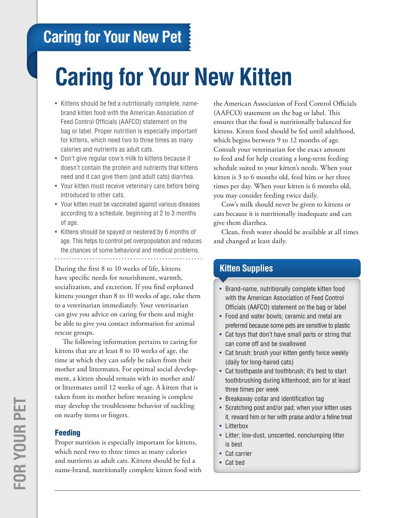# **Caring for Your New Pet**

# **Caring for Your New Kitten**

- Kittens should be fed a nutritionally complete, namebrand kitten food with the American Association of Feed Control Officials (AAFCO) statement on the bag or label. Proper nutrition is especially important for kittens, which need two to three times as many calories and nutrients as adult cats.
- Don't give regular cow's milk to kittens because it doesn't contain the protein and nutrients that kittens need and it can give them (and adult cats) diarrhea.
- Your kitten must receive veterinary care before being introduced to other cats.
- Your kitten must be vaccinated against various diseases according to a schedule, beginning at 2 to 3 months of age.
- Kittens should be spayed or neutered by 6 months of age. This helps to control pet overpopulation and reduces the chances of some behavioral and medical problems.

During the first 8 to 10 weeks of life, kittens have specific needs for nourishment, warmth, socialization, and excretion. If you find orphaned kittens younger than 8 to 10 weeks of age, take them to a veterinarian immediately. Your veterinarian can give you advice on caring for them and might be able to give you contact information for animal rescue groups.

The following information pertains to caring for kittens that are at least 8 to 10 weeks of age, the time at which they can safely be taken from their mother and littermates. For optimal social development, a kitten should remain with its mother and/ or littermates until 12 weeks of age. A kitten that is taken from its mother before weaning is complete may develop the troublesome behavior of suckling on nearby items or fingers.

### Feeding

Proper nutrition is especially important for kittens, which need two to three times as many calories and nutrients as adult cats. Kittens should be fed a name-brand, nutritionally complete kitten food with

the American Association of Feed Control Officials (AAFCO) statement on the bag or label. This ensures that the food is nutritionally balanced for kittens. Kitten food should be fed until adulthood, which begins between 9 to 12 months of age. Consult your veterinarian for the exact amount to feed and for help creating a long-term feeding schedule suited to your kitten's needs. When your kitten is 3 to 6 months old, feed him or her three times per day. When your kitten is 6 months old, you may consider feeding twice daily.

Cow's milk should never be given to kittens or cats because it is nutritionally inadequate and can give them diarrhea.

Clean, fresh water should be available at all times and changed at least daily.

# **Kitten Supplies**

- Brand-name, nutritionally complete kitten food with the American Association of Feed Control Officials (AAFCO) statement on the bag or label
- Food and water bowls; ceramic and metal are preferred because some pets are sensitive to plastic
- Cat toys that don't have small parts or string that can come off and be swallowed
- Cat brush; brush your kitten gently twice weekly (daily for long-haired cats)
- Cat toothpaste and toothbrush; it's best to start toothbrushing during kittenhood; aim for at least three times per week
- Breakaway collar and identification tag
- Scratching post and/or pad; when your kitten uses it, reward him or her with praise and/or a feline treat
- Litterbox
- • Litter; low-dust, unscented, nonclumping litter is best
- Cat carrier
- • Cat bed